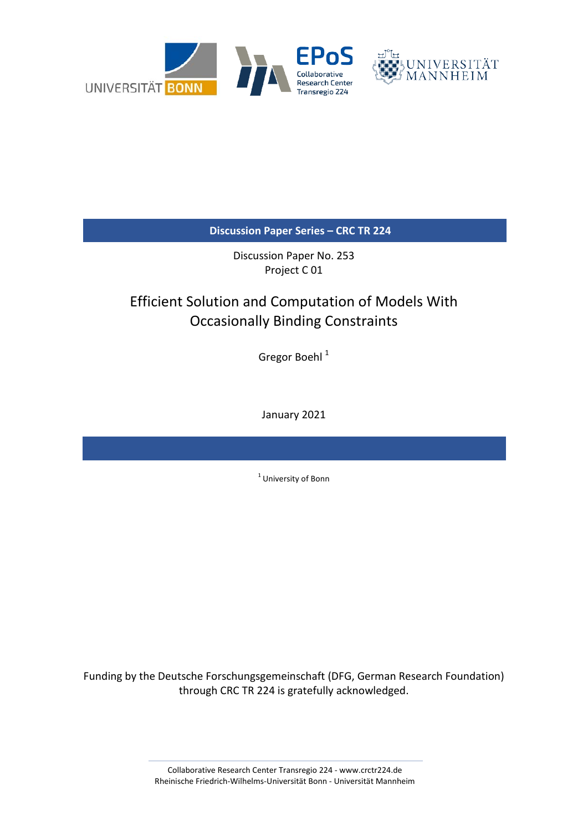

**Discussion Paper Series – CRC TR 224**

Discussion Paper No. 253 Project C 01

# Efficient Solution and Computation of Models With Occasionally Binding Constraints

Gregor Boehl <sup>1</sup>

January 2021

<sup>1</sup> University of Bonn

Funding by the Deutsche Forschungsgemeinschaft (DFG, German Research Foundation) through CRC TR 224 is gratefully acknowledged.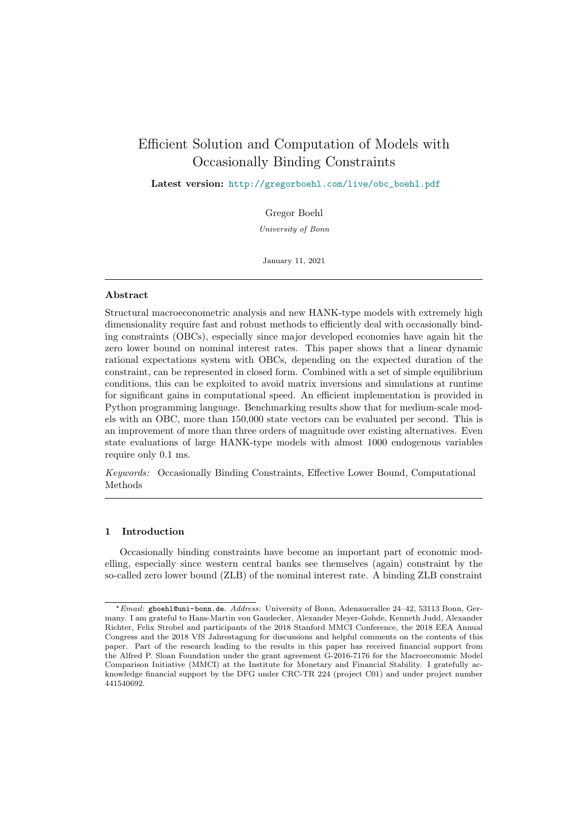# <span id="page-1-0"></span>Efficient Solution and Computation of Models with Occasionally Binding Constraints

Latest version: [http://gregorboehl.com/live/obc\\_boehl.pdf](http://gregorboehl.com/live/obc_boehl.pdf)

Gregor Boehl

University of Bonn

January 11, 2021

# Abstract

Structural macroeconometric analysis and new HANK-type models with extremely high dimensionality require fast and robust methods to efficiently deal with occasionally binding constraints (OBCs), especially since major developed economies have again hit the zero lower bound on nominal interest rates. This paper shows that a linear dynamic rational expectations system with OBCs, depending on the expected duration of the constraint, can be represented in closed form. Combined with a set of simple equilibrium conditions, this can be exploited to avoid matrix inversions and simulations at runtime for significant gains in computational speed. An efficient implementation is provided in Python programming language. Benchmarking results show that for medium-scale models with an OBC, more than 150,000 state vectors can be evaluated per second. This is an improvement of more than three orders of magnitude over existing alternatives. Even state evaluations of large HANK-type models with almost 1000 endogenous variables require only 0.1 ms.

Keywords: Occasionally Binding Constraints, Effective Lower Bound, Computational Methods

# 1 Introduction

Occasionally binding constraints have become an important part of economic modelling, especially since western central banks see themselves (again) constraint by the so-called zero lower bound (ZLB) of the nominal interest rate. A binding ZLB constraint

<sup>?</sup>Email: <gboehl@uni-bonn.de>. Address: University of Bonn, Adenauerallee 24–42, 53113 Bonn, Germany. I am grateful to Hans-Martin von Gaudecker, Alexander Meyer-Gohde, Kenneth Judd, Alexander Richter, Felix Strobel and participants of the 2018 Stanford MMCI Conference, the 2018 EEA Annual Congress and the 2018 VfS Jahrestagung for discussions and helpful comments on the contents of this paper. Part of the research leading to the results in this paper has received financial support from the Alfred P. Sloan Foundation under the grant agreement G-2016-7176 for the Macroeconomic Model Comparison Initiative (MMCI) at the Institute for Monetary and Financial Stability. I gratefully acknowledge financial support by the DFG under CRC-TR 224 (project C01) and under project number 441540692.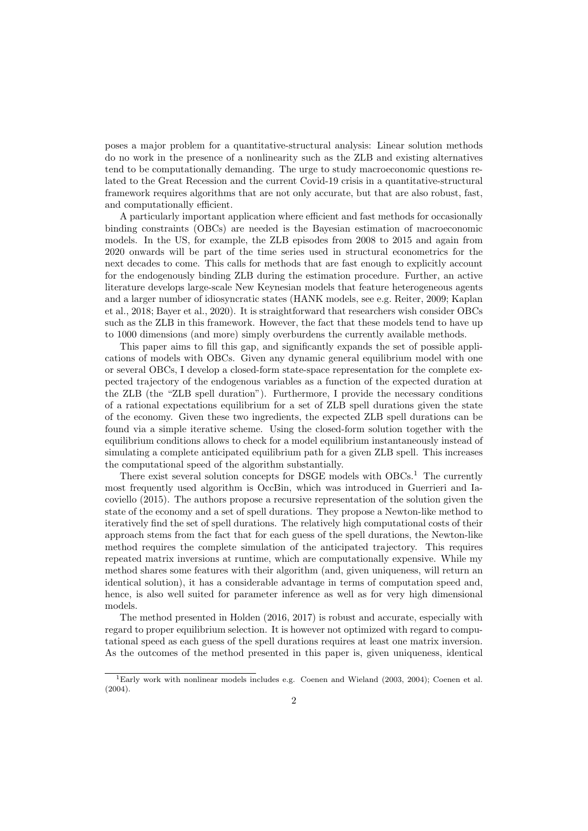poses a major problem for a quantitative-structural analysis: Linear solution methods do no work in the presence of a nonlinearity such as the ZLB and existing alternatives tend to be computationally demanding. The urge to study macroeconomic questions related to the Great Recession and the current Covid-19 crisis in a quantitative-structural framework requires algorithms that are not only accurate, but that are also robust, fast, and computationally efficient.

A particularly important application where efficient and fast methods for occasionally binding constraints (OBCs) are needed is the Bayesian estimation of macroeconomic models. In the US, for example, the ZLB episodes from 2008 to 2015 and again from 2020 onwards will be part of the time series used in structural econometrics for the next decades to come. This calls for methods that are fast enough to explicitly account for the endogenously binding ZLB during the estimation procedure. Further, an active literature develops large-scale New Keynesian models that feature heterogeneous agents and a larger number of idiosyncratic states (HANK models, see e.g. [Reiter, 2009;](#page-13-0) [Kaplan](#page-13-1) [et al., 2018;](#page-13-1) [Bayer et al., 2020\)](#page-12-0). It is straightforward that researchers wish consider OBCs such as the ZLB in this framework. However, the fact that these models tend to have up to 1000 dimensions (and more) simply overburdens the currently available methods.

This paper aims to fill this gap, and significantly expands the set of possible applications of models with OBCs. Given any dynamic general equilibrium model with one or several OBCs, I develop a closed-form state-space representation for the complete expected trajectory of the endogenous variables as a function of the expected duration at the ZLB (the "ZLB spell duration"). Furthermore, I provide the necessary conditions of a rational expectations equilibrium for a set of ZLB spell durations given the state of the economy. Given these two ingredients, the expected ZLB spell durations can be found via a simple iterative scheme. Using the closed-form solution together with the equilibrium conditions allows to check for a model equilibrium instantaneously instead of simulating a complete anticipated equilibrium path for a given ZLB spell. This increases the computational speed of the algorithm substantially.

There exist several solution concepts for DSGE models with  $OBCs<sup>1</sup>$  $OBCs<sup>1</sup>$  $OBCs<sup>1</sup>$ . The currently most frequently used algorithm is OccBin, which was introduced in [Guerrieri and Ia](#page-13-2)[coviello](#page-13-2) [\(2015\)](#page-13-2). The authors propose a recursive representation of the solution given the state of the economy and a set of spell durations. They propose a Newton-like method to iteratively find the set of spell durations. The relatively high computational costs of their approach stems from the fact that for each guess of the spell durations, the Newton-like method requires the complete simulation of the anticipated trajectory. This requires repeated matrix inversions at runtime, which are computationally expensive. While my method shares some features with their algorithm (and, given uniqueness, will return an identical solution), it has a considerable advantage in terms of computation speed and, hence, is also well suited for parameter inference as well as for very high dimensional models.

The method presented in [Holden](#page-13-3) [\(2016,](#page-13-3) [2017\)](#page-13-4) is robust and accurate, especially with regard to proper equilibrium selection. It is however not optimized with regard to computational speed as each guess of the spell durations requires at least one matrix inversion. As the outcomes of the method presented in this paper is, given uniqueness, identical

<sup>&</sup>lt;sup>1</sup>Early work with nonlinear models includes e.g. [Coenen and Wieland](#page-13-5) [\(2003,](#page-13-5) [2004\)](#page-13-6); [Coenen et al.](#page-12-1)  $(2004).$  $(2004).$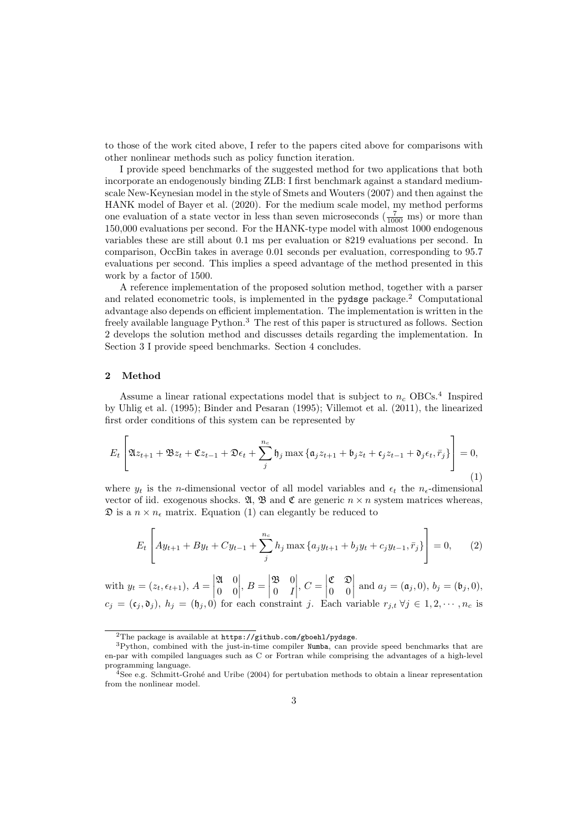to those of the work cited above, I refer to the papers cited above for comparisons with other nonlinear methods such as policy function iteration.

I provide speed benchmarks of the suggested method for two applications that both incorporate an endogenously binding ZLB: I first benchmark against a standard mediumscale New-Keynesian model in the style of [Smets and Wouters](#page-13-7) [\(2007\)](#page-13-7) and then against the HANK model of [Bayer et al.](#page-12-0) [\(2020\)](#page-12-0). For the medium scale model, my method performs one evaluation of a state vector in less than seven microseconds  $(\frac{7}{1000})$  ms) or more than 150,000 evaluations per second. For the HANK-type model with almost 1000 endogenous variables these are still about 0.1 ms per evaluation or 8219 evaluations per second. In comparison, OccBin takes in average 0.01 seconds per evaluation, corresponding to 95.7 evaluations per second. This implies a speed advantage of the method presented in this work by a factor of 1500.

A reference implementation of the proposed solution method, together with a parser and related econometric tools, is implemented in the <pydsge> package.[2](#page-1-0) Computational advantage also depends on efficient implementation. The implementation is written in the freely available language Python.[3](#page-1-0) The rest of this paper is structured as follows. Section [2](#page-3-0) develops the solution method and discusses details regarding the implementation. In Section [3](#page-9-0) I provide speed benchmarks. Section [4](#page-12-2) concludes.

### <span id="page-3-0"></span>2 Method

Assume a linear rational expectations model that is subject to  $n_c$  OBCs.<sup>[4](#page-1-0)</sup> Inspired by [Uhlig et al.](#page-13-8) [\(1995\)](#page-13-8); [Binder and Pesaran](#page-12-3) [\(1995\)](#page-12-3); [Villemot et al.](#page-13-9) [\(2011\)](#page-13-9), the linearized first order conditions of this system can be represented by

<span id="page-3-1"></span>
$$
E_t\left[\mathfrak{A}z_{t+1} + \mathfrak{B}z_t + \mathfrak{C}z_{t-1} + \mathfrak{D}\epsilon_t + \sum_j^{n_c} \mathfrak{h}_j \max\left\{\mathfrak{a}_j z_{t+1} + \mathfrak{b}_j z_t + \mathfrak{c}_j z_{t-1} + \mathfrak{d}_j \epsilon_t, \bar{r}_j\right\}\right] = 0,
$$
\n(1)

where  $y_t$  is the n-dimensional vector of all model variables and  $\epsilon_t$  the  $n_{\epsilon}$ -dimensional vector of iid. exogenous shocks.  $\mathfrak{A}, \mathfrak{B}$  and  $\mathfrak{C}$  are generic  $n \times n$  system matrices whereas,  $\mathfrak D$  is a  $n \times n_{\epsilon}$  matrix. Equation [\(1\)](#page-3-1) can elegantly be reduced to

<span id="page-3-2"></span>
$$
E_t\left[Ay_{t+1} + By_t + Cy_{t-1} + \sum_j^{n_c} h_j \max\{a_j y_{t+1} + b_j y_t + c_j y_{t-1}, \bar{r}_j\}\right] = 0, \quad (2)
$$

with  $y_t = (z_t, \epsilon_{t+1}), A = \begin{bmatrix} 1 & 0 \\ 0 & 1 \end{bmatrix}$  $\mathfrak{A} \quad 0$ 0 0  $\begin{array}{c} \begin{array}{c} \begin{array}{c} \end{array} \\ \begin{array}{c} \end{array} \end{array} \end{array}$  $, B = \begin{bmatrix} 1 & 1 \\ 1 & 1 \end{bmatrix}$  $\mathfrak{B} = 0$  $0 \quad I$  $\begin{array}{c} \hline \rule{0pt}{2.2ex} \\ \rule{0pt}{2.2ex} \end{array}$  $, C =$ C D 0 0 and  $a_j = (\mathfrak{a}_j, 0), b_j = (\mathfrak{b}_j, 0),$  $c_j = (\mathfrak{c}_i, \mathfrak{d}_j)$ ,  $h_j = (\mathfrak{h}_j, 0)$  for each constraint j. Each variable  $r_{j,t}$   $\forall j \in 1, 2, \cdots, n_c$  is

<sup>&</sup>lt;sup>2</sup>The package is available at <https://github.com/gboehl/pydsge>.

<sup>3</sup>Python, combined with the just-in-time compiler Numba, can provide speed benchmarks that are en-par with compiled languages such as C or Fortran while comprising the advantages of a high-level programming language.

<sup>&</sup>lt;sup>4</sup>See e.g. Schmitt-Grohé and Uribe [\(2004\)](#page-13-10) for pertubation methods to obtain a linear representation from the nonlinear model.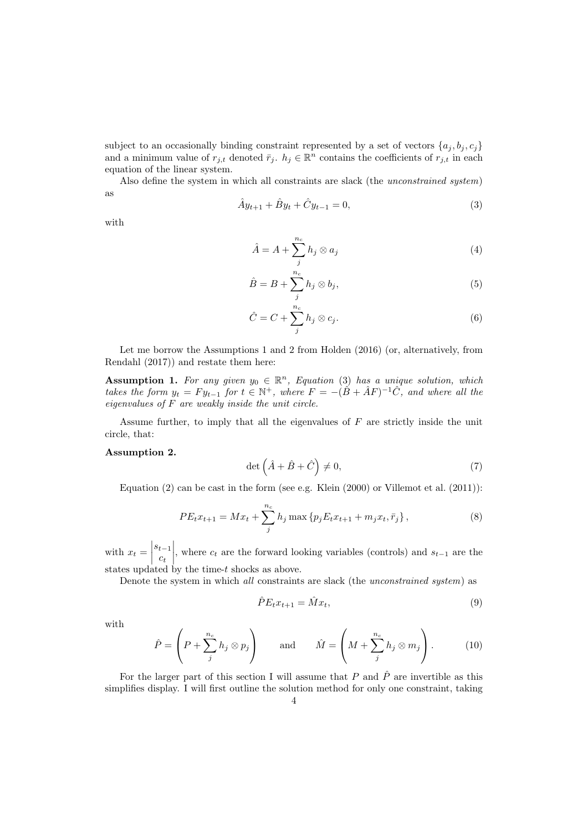subject to an occasionally binding constraint represented by a set of vectors  $\{a_i, b_i, c_i\}$ and a minimum value of  $r_{j,t}$  denoted  $\bar{r}_j$ .  $h_j \in \mathbb{R}^n$  contains the coefficients of  $r_{j,t}$  in each equation of the linear system.

<span id="page-4-0"></span>Also define the system in which all constraints are slack (the unconstrained system) as

$$
\hat{A}y_{t+1} + \hat{B}y_t + \hat{C}y_{t-1} = 0,\t\t(3)
$$

with

$$
\hat{A} = A + \sum_{j}^{n_c} h_j \otimes a_j \tag{4}
$$

$$
\hat{B} = B + \sum_{j}^{n_c} h_j \otimes b_j,\tag{5}
$$

$$
\hat{C} = C + \sum_{j}^{n_c} h_j \otimes c_j.
$$
\n(6)

Let me borrow the Assumptions 1 and 2 from [Holden](#page-13-3) [\(2016\)](#page-13-3) (or, alternatively, from [Rendahl](#page-13-11) [\(2017\)](#page-13-11)) and restate them here:

**Assumption 1.** For any given  $y_0 \in \mathbb{R}^n$ , Equation [\(3\)](#page-4-0) has a unique solution, which takes the form  $y_t = F y_{t-1}$  for  $t \in \mathbb{N}^+$ , where  $F = -(\hat{B} + \hat{A}F)^{-1}\hat{C}$ , and where all the eigenvalues of F are weakly inside the unit circle.

Assume further, to imply that all the eigenvalues of  $F$  are strictly inside the unit circle, that:

# Assumption 2.

$$
\det\left(\hat{A} + \hat{B} + \hat{C}\right) \neq 0,\tag{7}
$$

Equation  $(2)$  can be cast in the form (see e.g. [Klein](#page-13-12)  $(2000)$  or [Villemot et al.](#page-13-9)  $(2011)$ ):

$$
PE_{t}x_{t+1} = Mx_{t} + \sum_{j}^{n_{c}} h_{j} \max \{ p_{j}E_{t}x_{t+1} + m_{j}x_{t}, \bar{r}_{j} \},
$$
\n(8)

with  $x_t =$  $s_{t-1}$  $c_t$  $\begin{array}{c} \begin{array}{c} \begin{array}{c} \end{array} \\ \begin{array}{c} \end{array} \end{array} \end{array}$ , where  $c_t$  are the forward looking variables (controls) and  $s_{t-1}$  are the states updated by the time-t shocks as above.

Denote the system in which all constraints are slack (the unconstrained system) as

<span id="page-4-1"></span>
$$
\hat{P}E_t x_{t+1} = \hat{M}x_t,\tag{9}
$$

with

$$
\hat{P} = \left(P + \sum_{j}^{n_c} h_j \otimes p_j\right) \quad \text{and} \quad \hat{M} = \left(M + \sum_{j}^{n_c} h_j \otimes m_j\right). \tag{10}
$$

For the larger part of this section I will assume that P and  $\hat{P}$  are invertible as this simplifies display. I will first outline the solution method for only one constraint, taking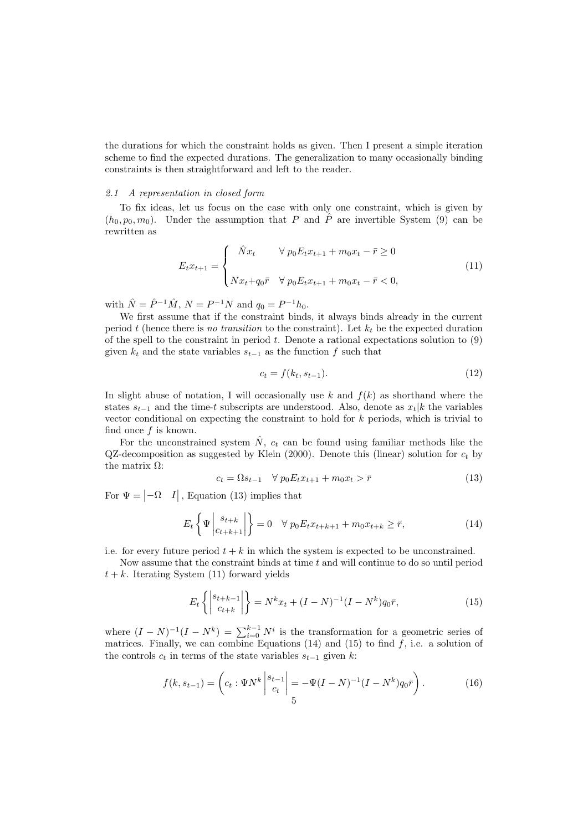the durations for which the constraint holds as given. Then I present a simple iteration scheme to find the expected durations. The generalization to many occasionally binding constraints is then straightforward and left to the reader.

#### 2.1 A representation in closed form

To fix ideas, let us focus on the case with only one constraint, which is given by  $(h_0, p_0, m_0)$ . Under the assumption that P and  $\hat{P}$  are invertible System [\(9\)](#page-4-1) can be rewritten as

<span id="page-5-1"></span>
$$
E_t x_{t+1} = \begin{cases} \hat{N}x_t & \forall p_0 E_t x_{t+1} + m_0 x_t - \bar{r} \ge 0 \\ N x_t + q_0 \bar{r} & \forall p_0 E_t x_{t+1} + m_0 x_t - \bar{r} < 0, \end{cases} \tag{11}
$$

with  $\hat{N} = \hat{P}^{-1}\hat{M}$ ,  $N = P^{-1}N$  and  $q_0 = P^{-1}h_0$ .

We first assume that if the constraint binds, it always binds already in the current period t (hence there is no transition to the constraint). Let  $k_t$  be the expected duration of the spell to the constraint in period  $t$ . Denote a rational expectations solution to  $(9)$ given  $k_t$  and the state variables  $s_{t-1}$  as the function f such that

<span id="page-5-5"></span>
$$
c_t = f(k_t, s_{t-1}).\tag{12}
$$

In slight abuse of notation, I will occasionally use  $k$  and  $f(k)$  as shorthand where the states  $s_{t-1}$  and the time-t subscripts are understood. Also, denote as  $x_t|k$  the variables vector conditional on expecting the constraint to hold for  $k$  periods, which is trivial to find once  $f$  is known.

For the unconstrained system  $\hat{N}$ ,  $c_t$  can be found using familiar methods like the QZ-decomposition as suggested by [Klein](#page-13-12) [\(2000\)](#page-13-12). Denote this (linear) solution for  $c_t$  by the matrix  $\Omega$ :

<span id="page-5-2"></span><span id="page-5-0"></span>
$$
c_t = \Omega s_{t-1} \quad \forall \ p_0 E_t x_{t+1} + m_0 x_t > \bar{r}
$$
\n(13)

For  $\Psi = \begin{vmatrix} -\Omega & I \end{vmatrix}$ , Equation [\(13\)](#page-5-0) implies that

$$
E_t\left\{\Psi\left|\begin{array}{c} s_{t+k} \\ c_{t+k+1} \end{array}\right|\right\} = 0 \quad \forall \ p_0 E_t x_{t+k+1} + m_0 x_{t+k} \ge \bar{r},\tag{14}
$$

i.e. for every future period  $t + k$  in which the system is expected to be unconstrained.

Now assume that the constraint binds at time  $t$  and will continue to do so until period  $t + k$ . Iterating System [\(11\)](#page-5-1) forward yields

<span id="page-5-4"></span><span id="page-5-3"></span>
$$
E_t\left\{ \left| \begin{array}{c} s_{t+k-1} \\ c_{t+k} \end{array} \right| \right\} = N^k x_t + (I - N)^{-1} (I - N^k) q_0 \bar{r},\tag{15}
$$

where  $(I - N)^{-1}(I - N^k) = \sum_{i=0}^{k-1} N^i$  is the transformation for a geometric series of matrices. Finally, we can combine Equations [\(14\)](#page-5-2) and [\(15\)](#page-5-3) to find  $f$ , i.e. a solution of the controls  $c_t$  in terms of the state variables  $s_{t-1}$  given k:

$$
f(k, s_{t-1}) = \left( c_t : \Psi N^k \left| \begin{array}{c} s_{t-1} \\ c_t \end{array} \right| = -\Psi (I - N)^{-1} (I - N^k) q_0 \bar{r} \right). \tag{16}
$$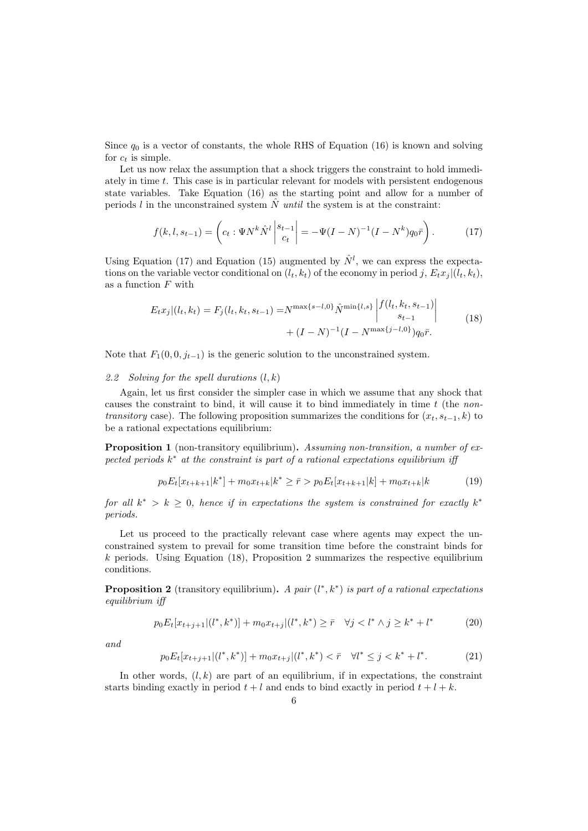Since  $q_0$  is a vector of constants, the whole RHS of Equation [\(16\)](#page-5-4) is known and solving for  $c_t$  is simple.

Let us now relax the assumption that a shock triggers the constraint to hold immediately in time t. This case is in particular relevant for models with persistent endogenous state variables. Take Equation [\(16\)](#page-5-4) as the starting point and allow for a number of periods l in the unconstrained system  $\hat{N}$  until the system is at the constraint:

<span id="page-6-0"></span>
$$
f(k, l, s_{t-1}) = \left( c_t : \Psi N^k \hat{N}^l \left| \begin{array}{c} s_{t-1} \\ c_t \end{array} \right| = -\Psi (I - N)^{-1} (I - N^k) q_0 \bar{r} \right). \tag{17}
$$

Using Equation [\(17\)](#page-6-0) and Equation [\(15\)](#page-5-3) augmented by  $\hat{N}^l$ , we can express the expectations on the variable vector conditional on  $(l_t, k_t)$  of the economy in period j,  $E_t x_i | (l_t, k_t)$ , as a function  $F$  with

<span id="page-6-1"></span>
$$
E_t x_j | (l_t, k_t) = F_j(l_t, k_t, s_{t-1}) = N^{\max\{s-l, 0\}} \hat{N}^{\min\{l, s\}} \begin{vmatrix} f(l_t, k_t, s_{t-1}) \\ s_{t-1} \end{vmatrix}
$$
  
+  $(I - N)^{-1} (I - N^{\max\{j-l, 0\}}) q_0 \bar{r}.$  (18)

Note that  $F_1(0, 0, j_{t-1})$  is the generic solution to the unconstrained system.

## 2.2 Solving for the spell durations  $(l, k)$

Again, let us first consider the simpler case in which we assume that any shock that causes the constraint to bind, it will cause it to bind immediately in time  $t$  (the nontransitory case). The following proposition summarizes the conditions for  $(x_t, s_{t-1}, k)$  to be a rational expectations equilibrium:

Proposition 1 (non-transitory equilibrium). Assuming non-transition, a number of expected periods  $k^*$  at the constraint is part of a rational expectations equilibrium iff

<span id="page-6-5"></span>
$$
p_0 E_t[x_{t+k+1}|k^*] + m_0 x_{t+k}|k^* \ge \bar{r} > p_0 E_t[x_{t+k+1}|k] + m_0 x_{t+k}|k \tag{19}
$$

for all  $k^* > k \geq 0$ , hence if in expectations the system is constrained for exactly  $k^*$ periods.

Let us proceed to the practically relevant case where agents may expect the unconstrained system to prevail for some transition time before the constraint binds for  $k$  periods. Using Equation [\(18\)](#page-6-1), Proposition [2](#page-6-2) summarizes the respective equilibrium conditions.

<span id="page-6-2"></span>**Proposition 2** (transitory equilibrium). A pair  $(l^*, k^*)$  is part of a rational expectations equilibrium iff

<span id="page-6-3"></span>
$$
p_0 E_t[x_{t+j+1}|(l^*,k^*)] + m_0 x_{t+j}|(l^*,k^*) \ge \bar{r} \quad \forall j < l^* \land j \ge k^* + l^* \tag{20}
$$

<span id="page-6-4"></span>and

$$
p_0 E_t[x_{t+j+1}|(l^*,k^*)] + m_0 x_{t+j}|(l^*,k^*) < \bar{r} \quad \forall l^* \le j < k^* + l^*.
$$
 (21)

In other words,  $(l, k)$  are part of an equilibrium, if in expectations, the constraint starts binding exactly in period  $t + l$  and ends to bind exactly in period  $t + l + k$ .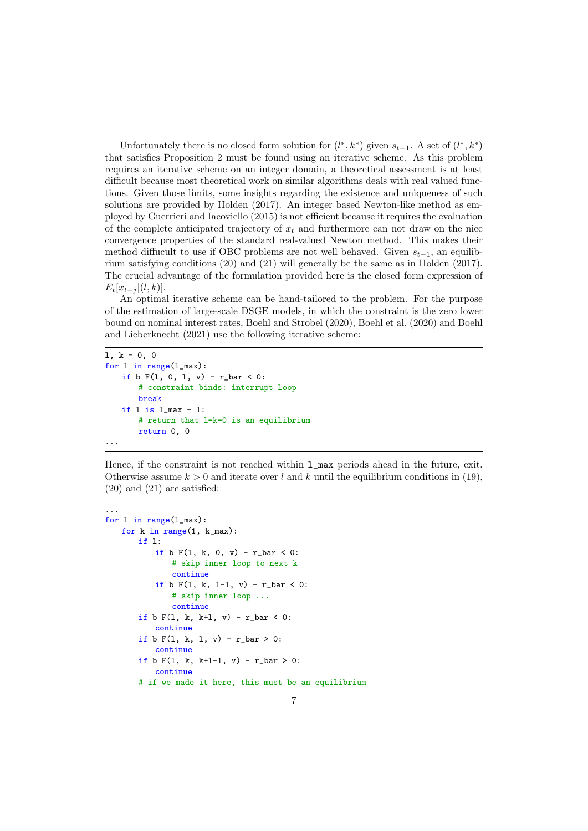Unfortunately there is no closed form solution for  $(l^*, k^*)$  given  $s_{t-1}$ . A set of  $(l^*, k^*)$ that satisfies Proposition [2](#page-6-2) must be found using an iterative scheme. As this problem requires an iterative scheme on an integer domain, a theoretical assessment is at least difficult because most theoretical work on similar algorithms deals with real valued functions. Given those limits, some insights regarding the existence and uniqueness of such solutions are provided by [Holden](#page-13-4) [\(2017\)](#page-13-4). An integer based Newton-like method as employed by [Guerrieri and Iacoviello](#page-13-2) [\(2015\)](#page-13-2) is not efficient because it requires the evaluation of the complete anticipated trajectory of  $x_t$  and furthermore can not draw on the nice convergence properties of the standard real-valued Newton method. This makes their method diffucult to use if OBC problems are not well behaved. Given  $s_{t-1}$ , an equilibrium satisfying conditions [\(20\)](#page-6-3) and [\(21\)](#page-6-4) will generally be the same as in [Holden](#page-13-4) [\(2017\)](#page-13-4). The crucial advantage of the formulation provided here is the closed form expression of  $E_t[x_{t+i} | (l, k)].$ 

An optimal iterative scheme can be hand-tailored to the problem. For the purpose of the estimation of large-scale DSGE models, in which the constraint is the zero lower bound on nominal interest rates, [Boehl and Strobel](#page-12-4) [\(2020\)](#page-12-4), [Boehl et al.](#page-12-5) [\(2020\)](#page-12-5) and [Boehl](#page-12-6) [and Lieberknecht](#page-12-6) [\(2021\)](#page-12-6) use the following iterative scheme:

```
1, k = 0, 0for l in range(l_max):
   if b F(1, 0, 1, v) - r_bar < 0:
       # constraint binds: interrupt loop
       break
   if l is l max -1:
       # return that l=k=0 is an equilibrium
       return 0, 0
...
```
Hence, if the constraint is not reached within  $1$  max periods ahead in the future, exit. Otherwise assume  $k > 0$  and iterate over l and k until the equilibrium conditions in [\(19\)](#page-6-5), [\(20\)](#page-6-3) and [\(21\)](#page-6-4) are satisfied:

```
...
for l in range(l_max):
   for k in range(1, k_max):
       if l:
           if b F(1, k, 0, v) - r_b = c):
               # skip inner loop to next k
               continue
           if b F(1, k, 1-1, v) - r_{bar} < 0:
               # skip inner loop ...
               continue
       if b F(1, k, k+1, v) - r_{bar} < 0:
           continue
       if b F(1, k, 1, v) - r_b = ccontinue
       if b F(1, k, k+1-1, v) - r_{bar} > 0:
           continue
       # if we made it here, this must be an equilibrium
```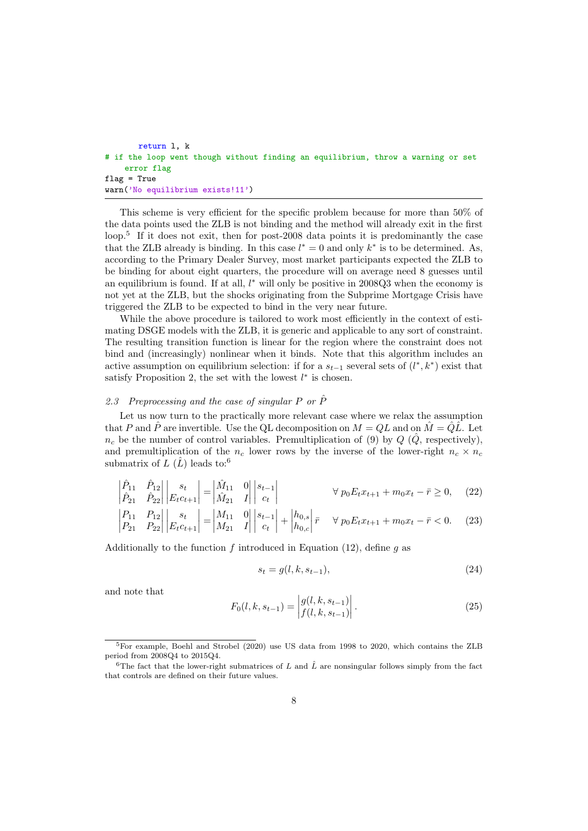```
return l, k
# if the loop went though without finding an equilibrium, throw a warning or set
    error flag
flag = True
warn('No equilibrium exists!11')
```
This scheme is very efficient for the specific problem because for more than 50% of the data points used the ZLB is not binding and the method will already exit in the first loop.<sup>[5](#page-1-0)</sup> If it does not exit, then for post-2008 data points it is predominantly the case that the ZLB already is binding. In this case  $l^* = 0$  and only  $k^*$  is to be determined. As, according to the Primary Dealer Survey, most market participants expected the ZLB to be binding for about eight quarters, the procedure will on average need 8 guesses until an equilibrium is found. If at all,  $l^*$  will only be positive in 2008Q3 when the economy is not yet at the ZLB, but the shocks originating from the Subprime Mortgage Crisis have triggered the ZLB to be expected to bind in the very near future.

While the above procedure is tailored to work most efficiently in the context of estimating DSGE models with the ZLB, it is generic and applicable to any sort of constraint. The resulting transition function is linear for the region where the constraint does not bind and (increasingly) nonlinear when it binds. Note that this algorithm includes an active assumption on equilibrium selection: if for a  $s_{t-1}$  several sets of  $(l^*, k^*)$  exist that satisfy Proposition 2, the set with the lowest  $l^*$  is chosen.

# 2.3 Preprocessing and the case of singular P or  $\hat{P}$

Let us now turn to the practically more relevant case where we relax the assumption that P and  $\hat{P}$  are invertible. Use the QL decomposition on  $M = QL$  and on  $\hat{M} = \hat{Q}\hat{L}$ . Let  $n_c$  be the number of control variables. Premultiplication of [\(9\)](#page-4-1) by Q ( $\hat{Q}$ , respectively), and premultiplication of the  $n_c$  lower rows by the inverse of the lower-right  $n_c \times n_c$ submatrix of  $L(\hat{L})$  leads to:<sup>[6](#page-1-0)</sup>

$$
\begin{vmatrix} \hat{P}_{11} & \hat{P}_{12} \\ \hat{P}_{21} & \hat{P}_{22} \end{vmatrix} \begin{vmatrix} s_t \\ E_t c_{t+1} \end{vmatrix} = \begin{vmatrix} \hat{M}_{11} & 0 \\ \hat{M}_{21} & I \end{vmatrix} \begin{vmatrix} s_{t-1} \\ c_t \end{vmatrix} \qquad \forall p_0 E_t x_{t+1} + m_0 x_t - \bar{r} \ge 0, \quad (22)
$$

$$
\begin{vmatrix} P_{11} & P_{12} \\ P_{21} & P_{22} \end{vmatrix} \begin{vmatrix} s_t \\ E_t c_{t+1} \end{vmatrix} = \begin{vmatrix} M_{11} & 0 \\ M_{21} & I \end{vmatrix} \begin{vmatrix} s_{t-1} \\ c_t \end{vmatrix} + \begin{vmatrix} h_{0,s} \\ h_{0,c} \end{vmatrix} \overline{r} \quad \forall \ p_0 E_t x_{t+1} + m_0 x_t - \overline{r} < 0. \tag{23}
$$

Additionally to the function f introduced in Equation [\(12\)](#page-5-5), define q as

$$
s_t = g(l, k, s_{t-1}),
$$
\n(24)

and note that

$$
F_0(l,k,s_{t-1}) = \begin{vmatrix} g(l,k,s_{t-1}) \\ f(l,k,s_{t-1}) \end{vmatrix}.
$$
 (25)

<sup>5</sup>For example, [Boehl and Strobel](#page-12-4) [\(2020\)](#page-12-4) use US data from 1998 to 2020, which contains the ZLB period from 2008Q4 to 2015Q4.

<sup>&</sup>lt;sup>6</sup>The fact that the lower-right submatrices of L and  $\hat{L}$  are nonsingular follows simply from the fact that controls are defined on their future values.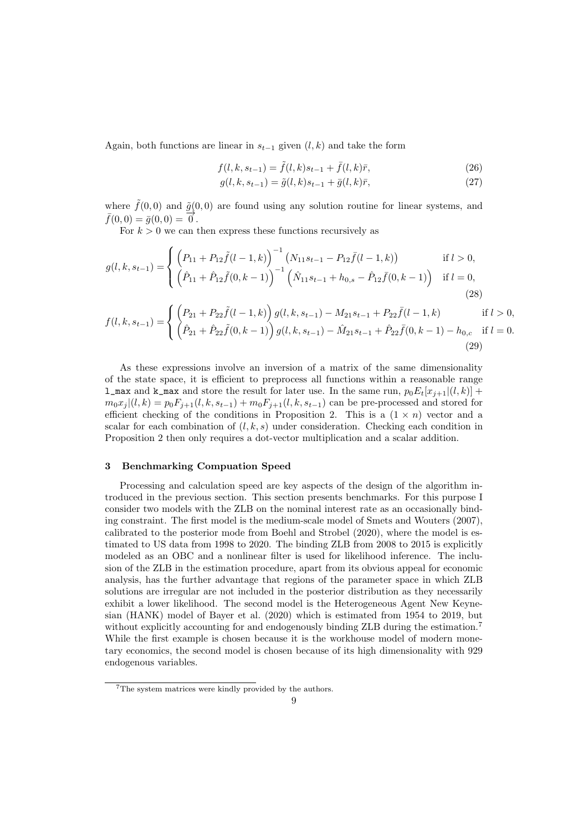Again, both functions are linear in  $s_{t-1}$  given  $(l, k)$  and take the form

$$
f(l, k, s_{t-1}) = \tilde{f}(l, k)s_{t-1} + \bar{f}(l, k)\bar{r},
$$
\n(26)

$$
g(l, k, s_{t-1}) = \tilde{g}(l, k)s_{t-1} + \bar{g}(l, k)\bar{r},
$$
\n(27)

where  $\tilde{f}(0,0)$  and  $\tilde{g}(0,0)$  are found using any solution routine for linear systems, and  $\overline{f}(0,0) = \overline{g}(0,0) = \overline{0}$ .

For  $k > 0$  we can then express these functions recursively as

$$
g(l,k,s_{t-1}) = \begin{cases} \left(P_{11} + P_{12}\tilde{f}(l-1,k)\right)^{-1} \left(N_{11}s_{t-1} - P_{12}\bar{f}(l-1,k)\right) & \text{if } l > 0, \\ \left(\hat{P}_{11} + \hat{P}_{12}\tilde{f}(0,k-1)\right)^{-1} \left(\hat{N}_{11}s_{t-1} + h_{0,s} - \hat{P}_{12}\bar{f}(0,k-1)\right) & \text{if } l = 0, \end{cases}
$$
\n
$$
(28)
$$

$$
f(l,k,s_{t-1}) = \begin{cases} \left(P_{21} + P_{22}\tilde{f}(l-1,k)\right)g(l,k,s_{t-1}) - M_{21}s_{t-1} + P_{22}\bar{f}(l-1,k) & \text{if } l > 0, \\ \left(\hat{P}_{21} + \hat{P}_{22}\tilde{f}(0,k-1)\right)g(l,k,s_{t-1}) - \hat{M}_{21}s_{t-1} + \hat{P}_{22}\bar{f}(0,k-1) - h_{0,c} & \text{if } l = 0. \end{cases}
$$
\n
$$
(29)
$$

As these expressions involve an inversion of a matrix of the same dimensionality of the state space, it is efficient to preprocess all functions within a reasonable range **[l\\_max](l_max)** and **[k\\_max](k_max)** and store the result for later use. In the same run,  $p_0E_t[x_{j+1}](l, k)$  +  $m_0x_j |(l, k) = p_0F_{j+1}(l, k, s_{t-1}) + m_0F_{j+1}(l, k, s_{t-1})$  can be pre-processed and stored for efficient checking of the conditions in Proposition [2.](#page-6-2) This is a  $(1 \times n)$  vector and a scalar for each combination of  $(l, k, s)$  under consideration. Checking each condition in Proposition [2](#page-6-2) then only requires a dot-vector multiplication and a scalar addition.

# <span id="page-9-0"></span>3 Benchmarking Compuation Speed

Processing and calculation speed are key aspects of the design of the algorithm introduced in the previous section. This section presents benchmarks. For this purpose I consider two models with the ZLB on the nominal interest rate as an occasionally binding constraint. The first model is the medium-scale model of [Smets and Wouters](#page-13-7) [\(2007\)](#page-13-7), calibrated to the posterior mode from [Boehl and Strobel](#page-12-4) [\(2020\)](#page-12-4), where the model is estimated to US data from 1998 to 2020. The binding ZLB from 2008 to 2015 is explicitly modeled as an OBC and a nonlinear filter is used for likelihood inference. The inclusion of the ZLB in the estimation procedure, apart from its obvious appeal for economic analysis, has the further advantage that regions of the parameter space in which ZLB solutions are irregular are not included in the posterior distribution as they necessarily exhibit a lower likelihood. The second model is the Heterogeneous Agent New Keynesian (HANK) model of [Bayer et al.](#page-12-0) [\(2020\)](#page-12-0) which is estimated from 1954 to 2019, but without explicitly accounting for and endogenously binding ZLB during the estimation.<sup>[7](#page-1-0)</sup> While the first example is chosen because it is the workhouse model of modern monetary economics, the second model is chosen because of its high dimensionality with 929 endogenous variables.

<sup>7</sup>The system matrices were kindly provided by the authors.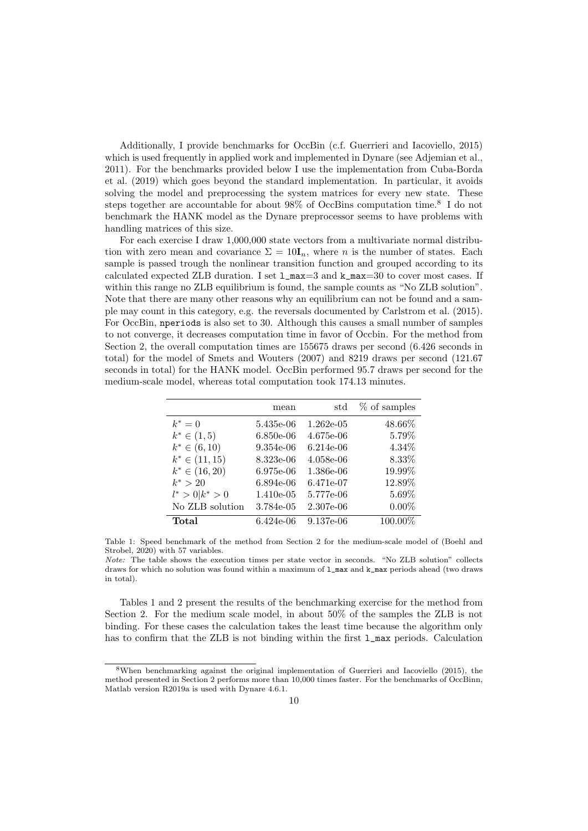Additionally, I provide benchmarks for OccBin (c.f. [Guerrieri and Iacoviello, 2015\)](#page-13-2) which is used frequently in applied work and implemented in Dynare (see [Adjemian et al.,](#page-12-7) [2011\)](#page-12-7). For the benchmarks provided below I use the implementation from [Cuba-Borda](#page-13-13) [et al.](#page-13-13) [\(2019\)](#page-13-13) which goes beyond the standard implementation. In particular, it avoids solving the model and preprocessing the system matrices for every new state. These steps together are accountable for about 9[8](#page-1-0)% of OccBins computation time.<sup>8</sup> I do not benchmark the HANK model as the Dynare preprocessor seems to have problems with handling matrices of this size.

For each exercise I draw 1,000,000 state vectors from a multivariate normal distribution with zero mean and covariance  $\Sigma = 10I_n$ , where n is the number of states. Each sample is passed trough the nonlinear transition function and grouped according to its calculated expected ZLB duration. I set  $1_{\text{max}}=3$  and  $k_{\text{max}}=30$  to cover most cases. If within this range no ZLB equilibrium is found, the sample counts as "No ZLB solution". Note that there are many other reasons why an equilibrium can not be found and a sample may count in this category, e.g. the reversals documented by [Carlstrom et al.](#page-12-8) [\(2015\)](#page-12-8). For OccBin, <nperiods> is also set to 30. Although this causes a small number of samples to not converge, it decreases computation time in favor of Occbin. For the method from Section [2,](#page-3-0) the overall computation times are 155675 draws per second (6.426 seconds in total) for the model of [Smets and Wouters](#page-13-7) [\(2007\)](#page-13-7) and 8219 draws per second (121.67 seconds in total) for the HANK model. OccBin performed 95.7 draws per second for the medium-scale model, whereas total computation took 174.13 minutes.

<span id="page-10-0"></span>

|                     | mean         | std         | $%$ of samples |
|---------------------|--------------|-------------|----------------|
| $k^* = 0$           | 5.435e-06    | $1.262e-05$ | 48.66%         |
| $k^* \in (1, 5)$    | $6.850e-06$  | 4.675e-06   | 5.79%          |
| $k^* \in (6, 10)$   | 9.354e-06    | $6.214e-06$ | $4.34\%$       |
| $k^* \in (11, 15)$  | 8.323e-06    | $4.058e-06$ | 8.33%          |
| $k^* \in (16, 20)$  | 6.975e-06    | 1.386e-06   | 19.99%         |
| $k^* > 20$          | 6.894e-06    | 6.471e-07   | 12.89%         |
| $l^* > 0   k^* > 0$ | $1.410e-0.5$ | 5.777e-06   | 5.69%          |
| No ZLB solution     | 3.784e-05    | 2.307e-06   | $0.00\%$       |
| Total               | 6.424e-06    | 9.137e-06   | 100.00%        |

Table 1: Speed benchmark of the method from Section [2](#page-3-0) for the medium-scale model of [\(Boehl and](#page-12-4) [Strobel, 2020\)](#page-12-4) with 57 variables.

Tables [1](#page-10-0) and [2](#page-11-0) present the results of the benchmarking exercise for the method from Section [2.](#page-3-0) For the medium scale model, in about 50% of the samples the ZLB is not binding. For these cases the calculation takes the least time because the algorithm only has to confirm that the ZLB is not binding within the first  $1$ -max periods. Calculation

Note: The table shows the execution times per state vector in seconds. "No ZLB solution" collects draws for which no solution was found within a maximum of [l\\_max](l_max) and [k\\_max](k_max) periods ahead (two draws in total).

<sup>8</sup>When benchmarking against the original implementation of [Guerrieri and Iacoviello](#page-13-2) [\(2015\)](#page-13-2), the method presented in Section [2](#page-3-0) performs more than 10,000 times faster. For the benchmarks of OccBinn, Matlab version R2019a is used with Dynare 4.6.1.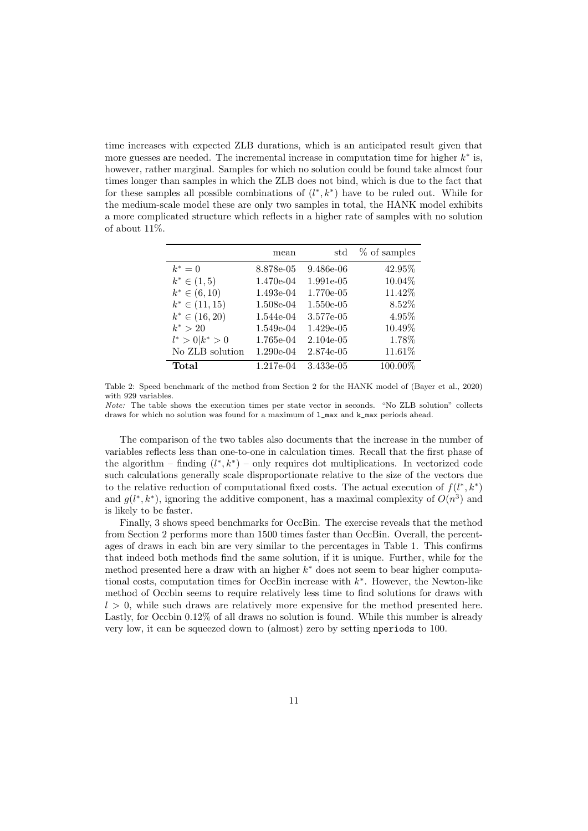time increases with expected ZLB durations, which is an anticipated result given that more guesses are needed. The incremental increase in computation time for higher  $k^*$  is, however, rather marginal. Samples for which no solution could be found take almost four times longer than samples in which the ZLB does not bind, which is due to the fact that for these samples all possible combinations of  $(l^*, k^*)$  have to be ruled out. While for the medium-scale model these are only two samples in total, the HANK model exhibits a more complicated structure which reflects in a higher rate of samples with no solution of about 11%.

<span id="page-11-0"></span>

|                     | mean      | std         | $%$ of samples |
|---------------------|-----------|-------------|----------------|
| $k^* = 0$           | 8.878e-05 | 9.486e-06   | 42.95%         |
| $k^* \in (1, 5)$    | 1.470e-04 | 1.991e-05   | 10.04%         |
| $k^* \in (6, 10)$   | 1.493e-04 | 1.770e-05   | 11.42%         |
| $k^* \in (11, 15)$  | 1.508e-04 | $1.550e-05$ | 8.52%          |
| $k^* \in (16, 20)$  | 1.544e-04 | 3.577e-05   | 4.95%          |
| $k^* > 20$          | 1.549e-04 | $1.429e-05$ | 10.49%         |
| $l^* > 0   k^* > 0$ | 1.765e-04 | $2.104e-05$ | 1.78%          |
| No ZLB solution     | 1.290e-04 | 2.874e-05   | 11.61%         |
| Total               | 1.217e-04 | 3.433e-05   | 100.00%        |

Table 2: Speed benchmark of the method from Section [2](#page-3-0) for the HANK model of [\(Bayer et al., 2020\)](#page-12-0) with 929 variables.

Note: The table shows the execution times per state vector in seconds. "No ZLB solution" collects draws for which no solution was found for a maximum of [l\\_max](l_max) and [k\\_max](k_max) periods ahead.

The comparison of the two tables also documents that the increase in the number of variables reflects less than one-to-one in calculation times. Recall that the first phase of the algorithm – finding  $(l^*, k^*)$  – only requires dot multiplications. In vectorized code such calculations generally scale disproportionate relative to the size of the vectors due to the relative reduction of computational fixed costs. The actual execution of  $f(l^*, k^*)$ and  $g(l^*, k^*)$ , ignoring the additive component, has a maximal complexity of  $O(n^3)$  and is likely to be faster.

Finally, [3](#page-12-9) shows speed benchmarks for OccBin. The exercise reveals that the method from Section [2](#page-3-0) performs more than 1500 times faster than OccBin. Overall, the percentages of draws in each bin are very similar to the percentages in Table [1.](#page-10-0) This confirms that indeed both methods find the same solution, if it is unique. Further, while for the method presented here a draw with an higher  $k^*$  does not seem to bear higher computational costs, computation times for OccBin increase with  $k^*$ . However, the Newton-like method of Occbin seems to require relatively less time to find solutions for draws with  $l > 0$ , while such draws are relatively more expensive for the method presented here. Lastly, for Occbin 0.12% of all draws no solution is found. While this number is already very low, it can be squeezed down to (almost) zero by setting <nperiods> to 100.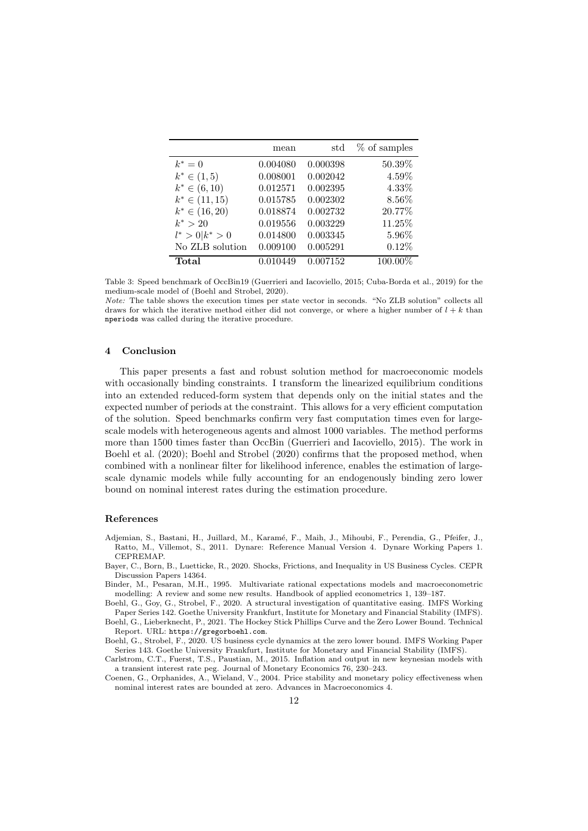<span id="page-12-9"></span>

|                     | mean     | std      | $%$ of samples |
|---------------------|----------|----------|----------------|
| $k^* = 0$           | 0.004080 | 0.000398 | 50.39%         |
| $k^* \in (1, 5)$    | 0.008001 | 0.002042 | 4.59%          |
| $k^* \in (6, 10)$   | 0.012571 | 0.002395 | 4.33%          |
| $k^* \in (11, 15)$  | 0.015785 | 0.002302 | 8.56%          |
| $k^* \in (16, 20)$  | 0.018874 | 0.002732 | 20.77%         |
| $k^* > 20$          | 0.019556 | 0.003229 | $11.25\%$      |
| $l^* > 0   k^* > 0$ | 0.014800 | 0.003345 | 5.96%          |
| No ZLB solution     | 0.009100 | 0.005291 | $0.12\%$       |
| Total               | 0.010449 | 0.007152 | 100.00%        |

Table 3: Speed benchmark of OccBin19 [\(Guerrieri and Iacoviello, 2015;](#page-13-2) [Cuba-Borda et al., 2019\)](#page-13-13) for the medium-scale model of [\(Boehl and Strobel, 2020\)](#page-12-4).

Note: The table shows the execution times per state vector in seconds. "No ZLB solution" collects all draws for which the iterative method either did not converge, or where a higher number of  $l + k$  than <nperiods> was called during the iterative procedure.

# <span id="page-12-2"></span>4 Conclusion

This paper presents a fast and robust solution method for macroeconomic models with occasionally binding constraints. I transform the linearized equilibrium conditions into an extended reduced-form system that depends only on the initial states and the expected number of periods at the constraint. This allows for a very efficient computation of the solution. Speed benchmarks confirm very fast computation times even for largescale models with heterogeneous agents and almost 1000 variables. The method performs more than 1500 times faster than OccBin [\(Guerrieri and Iacoviello, 2015\)](#page-13-2). The work in [Boehl et al.](#page-12-5) [\(2020\)](#page-12-5); [Boehl and Strobel](#page-12-4) [\(2020\)](#page-12-4) confirms that the proposed method, when combined with a nonlinear filter for likelihood inference, enables the estimation of largescale dynamic models while fully accounting for an endogenously binding zero lower bound on nominal interest rates during the estimation procedure.

#### References

- <span id="page-12-7"></span>Adjemian, S., Bastani, H., Juillard, M., Karam´e, F., Maih, J., Mihoubi, F., Perendia, G., Pfeifer, J., Ratto, M., Villemot, S., 2011. Dynare: Reference Manual Version 4. Dynare Working Papers 1. CEPREMAP.
- <span id="page-12-0"></span>Bayer, C., Born, B., Luetticke, R., 2020. Shocks, Frictions, and Inequality in US Business Cycles. CEPR Discussion Papers 14364.
- <span id="page-12-3"></span>Binder, M., Pesaran, M.H., 1995. Multivariate rational expectations models and macroeconometric modelling: A review and some new results. Handbook of applied econometrics 1, 139–187.

<span id="page-12-5"></span>Boehl, G., Goy, G., Strobel, F., 2020. A structural investigation of quantitative easing. IMFS Working Paper Series 142. Goethe University Frankfurt, Institute for Monetary and Financial Stability (IMFS).

<span id="page-12-6"></span>Boehl, G., Lieberknecht, P., 2021. The Hockey Stick Phillips Curve and the Zero Lower Bound. Technical Report. URL: <https://gregorboehl.com>.

<span id="page-12-4"></span>Boehl, G., Strobel, F., 2020. US business cycle dynamics at the zero lower bound. IMFS Working Paper Series 143. Goethe University Frankfurt, Institute for Monetary and Financial Stability (IMFS).

<span id="page-12-8"></span>Carlstrom, C.T., Fuerst, T.S., Paustian, M., 2015. Inflation and output in new keynesian models with a transient interest rate peg. Journal of Monetary Economics 76, 230–243.

<span id="page-12-1"></span>Coenen, G., Orphanides, A., Wieland, V., 2004. Price stability and monetary policy effectiveness when nominal interest rates are bounded at zero. Advances in Macroeconomics 4.